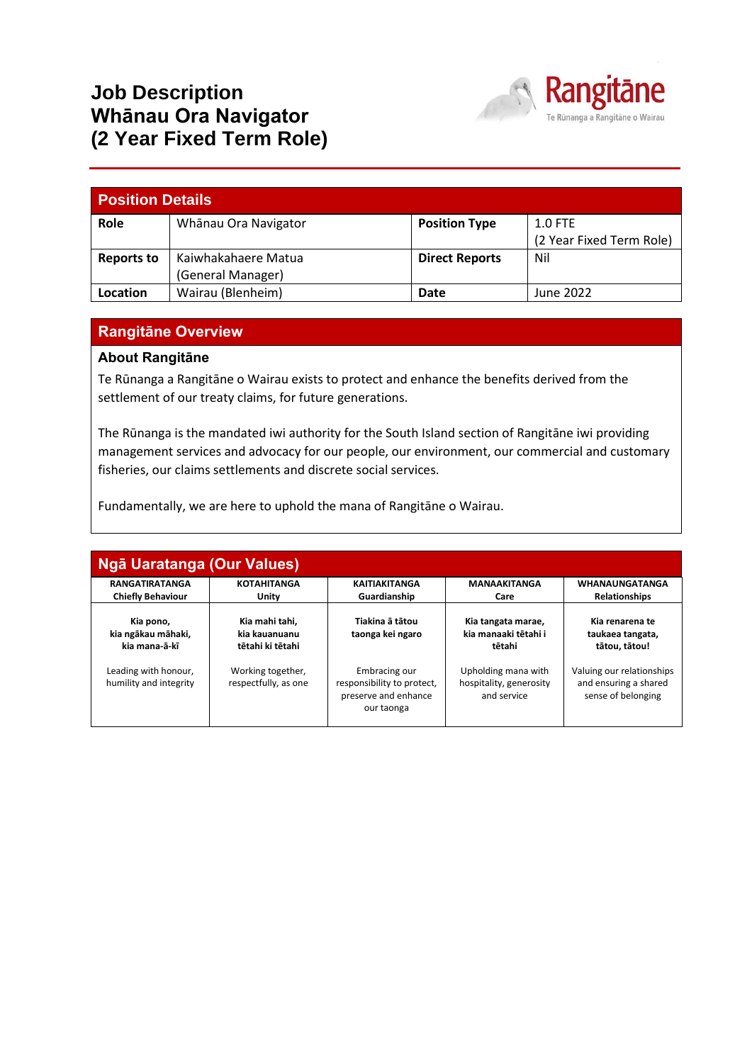äne

Te Rünanga a Rangitäne o Wairau



# **Rangitāne Overview**

**Job Description**

## **About Rangitāne**

Te Rūnanga a Rangitāne o Wairau exists to protect and enhance the benefits derived from the settlement of our treaty claims, for future generations.

The Rūnanga is the mandated iwi authority for the South Island section of Rangitāne iwi providing management services and advocacy for our people, our environment, our commercial and customary fisheries, our claims settlements and discrete social services.

Fundamentally, we are here to uphold the mana of Rangitāne o Wairau.

| Ngā Uaratanga (Our Values)                        |                                                     |                                                                                   |                                                               |                                                                          |  |  |  |
|---------------------------------------------------|-----------------------------------------------------|-----------------------------------------------------------------------------------|---------------------------------------------------------------|--------------------------------------------------------------------------|--|--|--|
| <b>RANGATIRATANGA</b><br><b>Chiefly Behaviour</b> | <b>KOTAHITANGA</b><br>Unity                         | <b>KAITIAKITANGA</b><br>Guardianship                                              | <b>MANAAKITANGA</b><br>Care                                   | <b>WHANAUNGATANGA</b><br><b>Relationships</b>                            |  |  |  |
| Kia pono,<br>kia ngākau māhaki,<br>kia mana-ā-kī  | Kia mahi tahi.<br>kia kauanuanu<br>tētahi ki tētahi | Tiakina ā tātou<br>taonga kei ngaro                                               | Kia tangata marae,<br>kia manaaki tētahi i<br>tētahi          | Kia renarena te<br>taukaea tangata,<br>tātou, tātou!                     |  |  |  |
| Leading with honour,<br>humility and integrity    | Working together,<br>respectfully, as one           | Embracing our<br>responsibility to protect,<br>preserve and enhance<br>our taonga | Upholding mana with<br>hospitality, generosity<br>and service | Valuing our relationships<br>and ensuring a shared<br>sense of belonging |  |  |  |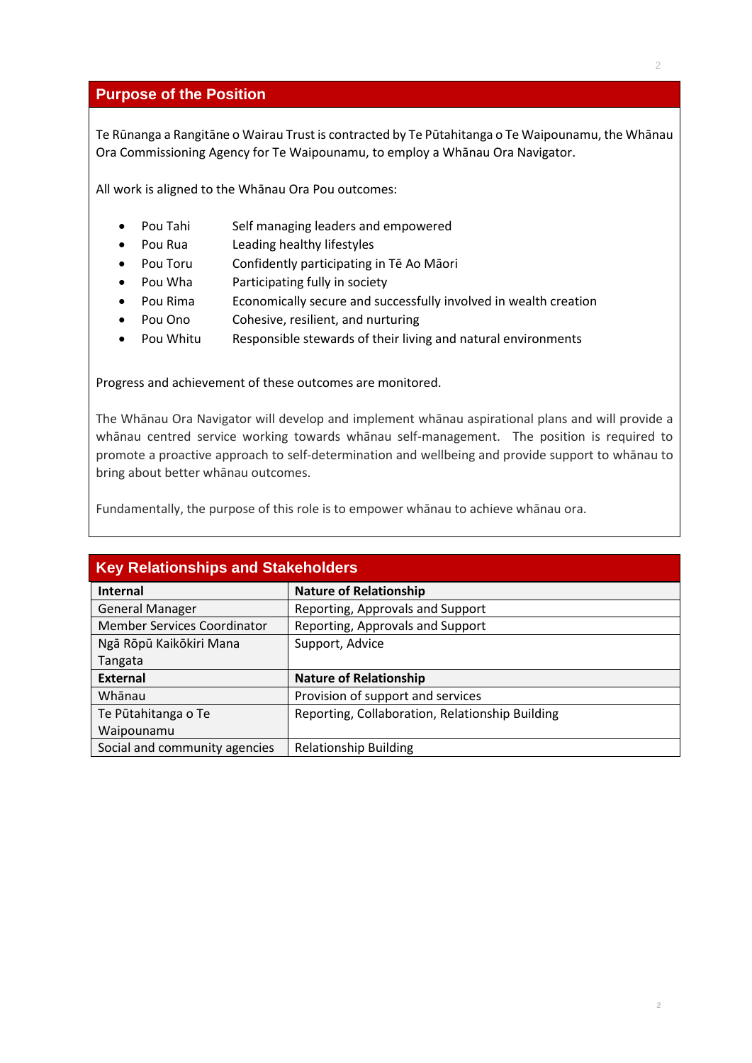Te Rūnanga a Rangitāne o Wairau Trust is contracted by Te Pūtahitanga o Te Waipounamu, the Whānau Ora Commissioning Agency for Te Waipounamu, to employ a Whānau Ora Navigator.

All work is aligned to the Whānau Ora Pou outcomes:

- Pou Tahi Self managing leaders and empowered
- Pou Rua Leading healthy lifestyles
- Pou Toru Confidently participating in Tē Ao Māori
- Pou Wha Participating fully in society
- Pou Rima Economically secure and successfully involved in wealth creation
- Pou Ono Cohesive, resilient, and nurturing
- Pou Whitu Responsible stewards of their living and natural environments

Progress and achievement of these outcomes are monitored.

The Whānau Ora Navigator will develop and implement whānau aspirational plans and will provide a whānau centred service working towards whānau self-management. The position is required to promote a proactive approach to self-determination and wellbeing and provide support to whānau to bring about better whānau outcomes.

Fundamentally, the purpose of this role is to empower whānau to achieve whānau ora.

| <b>Key Relationships and Stakeholders</b> |                                                 |  |  |  |
|-------------------------------------------|-------------------------------------------------|--|--|--|
| Internal                                  | <b>Nature of Relationship</b>                   |  |  |  |
| <b>General Manager</b>                    | Reporting, Approvals and Support                |  |  |  |
| <b>Member Services Coordinator</b>        | Reporting, Approvals and Support                |  |  |  |
| Ngā Rōpū Kaikōkiri Mana                   | Support, Advice                                 |  |  |  |
| Tangata                                   |                                                 |  |  |  |
| <b>External</b>                           | <b>Nature of Relationship</b>                   |  |  |  |
| Whānau                                    | Provision of support and services               |  |  |  |
| Te Pūtahitanga o Te                       | Reporting, Collaboration, Relationship Building |  |  |  |
| Waipounamu                                |                                                 |  |  |  |
| Social and community agencies             | <b>Relationship Building</b>                    |  |  |  |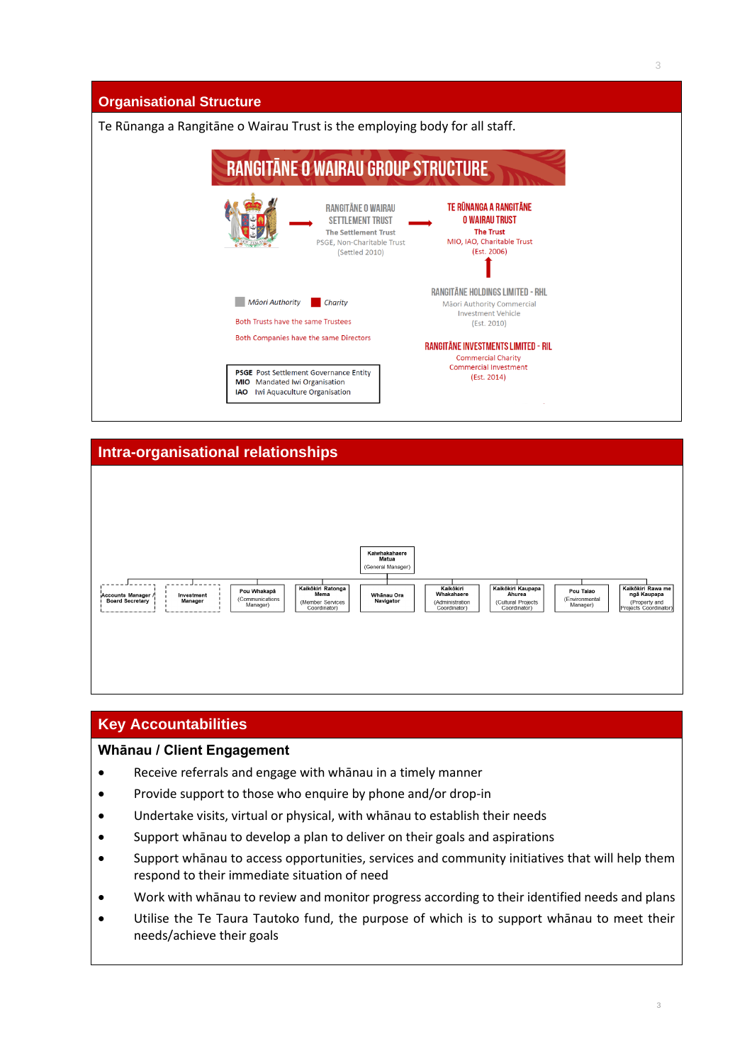#### **Organisational Structure** Te Rūnanga a Rangitāne o Wairau Trust is the employing body for all staff. RANGITĀNE O WAIRAU GROUP STRUCTURE TE RŪNANGA A RANGITĀNE **RANGITĀNE O WAIRAU SETTLEMENT TRUST** O WAIRAU TRUST The Trust The Settlement Trust MIO, IAO, Charitable Trust PSGE, Non-Charitable Trust (Est. 2006) (Settled 2010) **RANGITÄNE HOLDINGS LIMITED - RHL** Māori Authority Charity Mãori Authority Commercial **Investment Vehicle** Both Trusts have the same Trustees (Est. 2010) Both Companies have the same Directors **RANGITĀNE INVESTMENTS LIMITED - RIL Commercial Charity** Commercial Investment **PSGE** Post Settlement Governance Entity (Est. 2014) MIO Mandated Iwi Organisation IAO Iwi Aquaculture Organisation



# **Key Accountabilities**

# **Whānau / Client Engagement**

- Receive referrals and engage with whānau in a timely manner
- Provide support to those who enquire by phone and/or drop-in
- Undertake visits, virtual or physical, with whānau to establish their needs
- Support whānau to develop a plan to deliver on their goals and aspirations
- Support whānau to access opportunities, services and community initiatives that will help them respond to their immediate situation of need
- Work with whānau to review and monitor progress according to their identified needs and plans
- Utilise the Te Taura Tautoko fund, the purpose of which is to support whānau to meet their needs/achieve their goals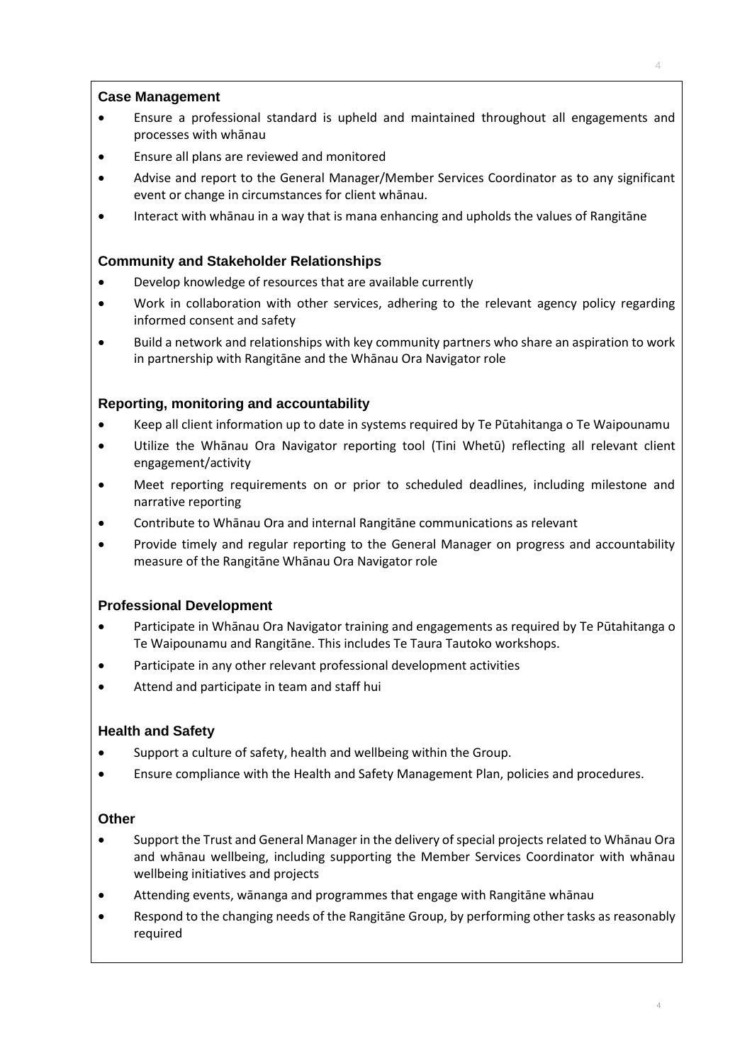### **Case Management**

- Ensure a professional standard is upheld and maintained throughout all engagements and processes with whānau
- Ensure all plans are reviewed and monitored
- Advise and report to the General Manager/Member Services Coordinator as to any significant event or change in circumstances for client whānau.
- Interact with whānau in a way that is mana enhancing and upholds the values of Rangitāne

### **Community and Stakeholder Relationships**

- Develop knowledge of resources that are available currently
- Work in collaboration with other services, adhering to the relevant agency policy regarding informed consent and safety
- Build a network and relationships with key community partners who share an aspiration to work in partnership with Rangitāne and the Whānau Ora Navigator role

## **Reporting, monitoring and accountability**

- Keep all client information up to date in systems required by Te Pūtahitanga o Te Waipounamu
- Utilize the Whānau Ora Navigator reporting tool (Tini Whetū) reflecting all relevant client engagement/activity
- Meet reporting requirements on or prior to scheduled deadlines, including milestone and narrative reporting
- Contribute to Whānau Ora and internal Rangitāne communications as relevant
- Provide timely and regular reporting to the General Manager on progress and accountability measure of the Rangitāne Whānau Ora Navigator role

#### **Professional Development**

- Participate in Whānau Ora Navigator training and engagements as required by Te Pūtahitanga o Te Waipounamu and Rangitāne. This includes Te Taura Tautoko workshops.
- Participate in any other relevant professional development activities
- Attend and participate in team and staff hui

#### **Health and Safety**

- Support a culture of safety, health and wellbeing within the Group.
- Ensure compliance with the Health and Safety Management Plan, policies and procedures.

#### **Other**

- Support the Trust and General Manager in the delivery of special projects related to Whānau Ora and whānau wellbeing, including supporting the Member Services Coordinator with whānau wellbeing initiatives and projects
- Attending events, wānanga and programmes that engage with Rangitāne whānau
- Respond to the changing needs of the Rangitāne Group, by performing other tasks as reasonably required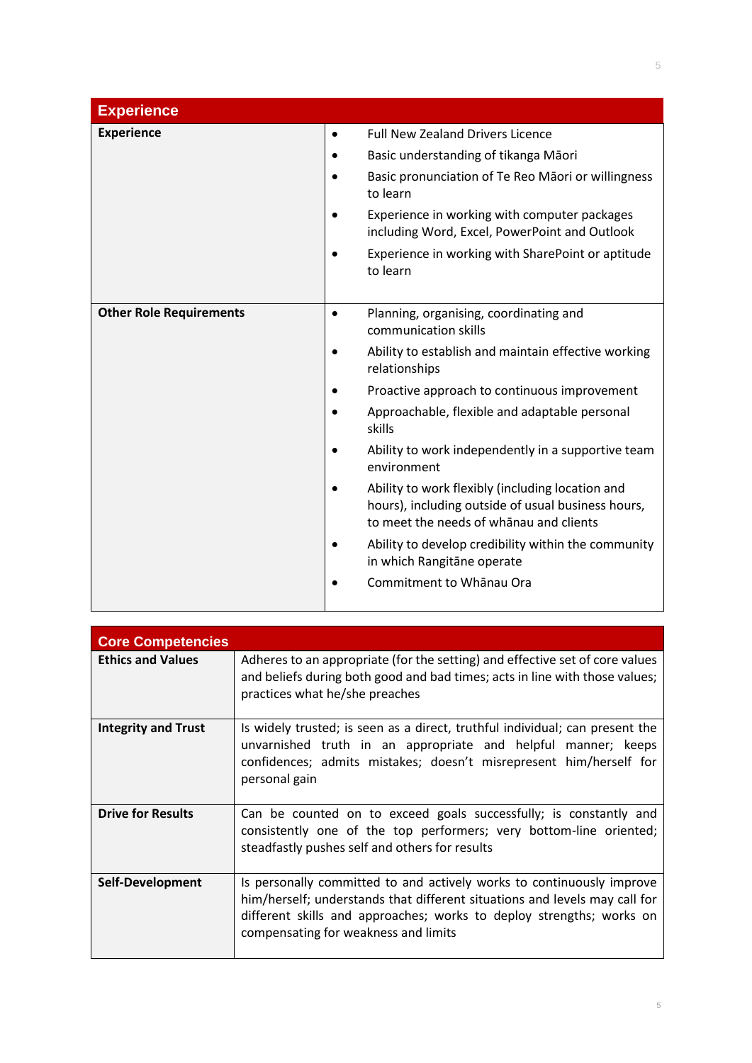| <b>Experience</b>              |           |                                                                                                                                                   |
|--------------------------------|-----------|---------------------------------------------------------------------------------------------------------------------------------------------------|
| <b>Experience</b>              | $\bullet$ | <b>Full New Zealand Drivers Licence</b>                                                                                                           |
|                                |           | Basic understanding of tikanga Māori                                                                                                              |
|                                |           | Basic pronunciation of Te Reo Māori or willingness<br>to learn                                                                                    |
|                                |           | Experience in working with computer packages<br>including Word, Excel, PowerPoint and Outlook                                                     |
|                                |           | Experience in working with SharePoint or aptitude<br>to learn                                                                                     |
| <b>Other Role Requirements</b> | $\bullet$ | Planning, organising, coordinating and<br>communication skills                                                                                    |
|                                |           | Ability to establish and maintain effective working<br>relationships                                                                              |
|                                |           | Proactive approach to continuous improvement                                                                                                      |
|                                |           | Approachable, flexible and adaptable personal<br>skills                                                                                           |
|                                |           | Ability to work independently in a supportive team<br>environment                                                                                 |
|                                |           | Ability to work flexibly (including location and<br>hours), including outside of usual business hours,<br>to meet the needs of whanau and clients |
|                                |           | Ability to develop credibility within the community<br>in which Rangitane operate                                                                 |
|                                |           | Commitment to Whanau Ora                                                                                                                          |

| <b>Core Competencies</b>   |                                                                                                                                                                                                                                                                     |
|----------------------------|---------------------------------------------------------------------------------------------------------------------------------------------------------------------------------------------------------------------------------------------------------------------|
| <b>Ethics and Values</b>   | Adheres to an appropriate (for the setting) and effective set of core values<br>and beliefs during both good and bad times; acts in line with those values;<br>practices what he/she preaches                                                                       |
| <b>Integrity and Trust</b> | Is widely trusted; is seen as a direct, truthful individual; can present the<br>unvarnished truth in an appropriate and helpful manner; keeps<br>confidences; admits mistakes; doesn't misrepresent him/herself for<br>personal gain                                |
| <b>Drive for Results</b>   | Can be counted on to exceed goals successfully; is constantly and<br>consistently one of the top performers; very bottom-line oriented;<br>steadfastly pushes self and others for results                                                                           |
| Self-Development           | Is personally committed to and actively works to continuously improve<br>him/herself; understands that different situations and levels may call for<br>different skills and approaches; works to deploy strengths; works on<br>compensating for weakness and limits |